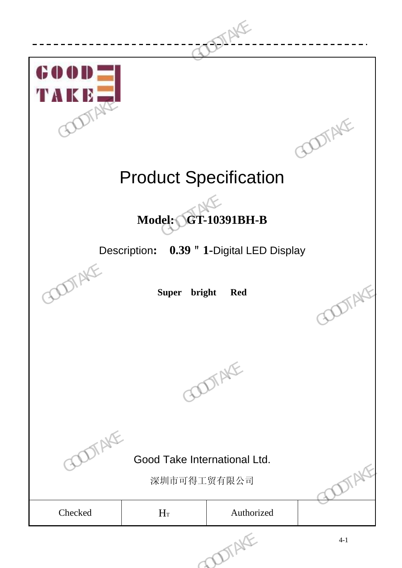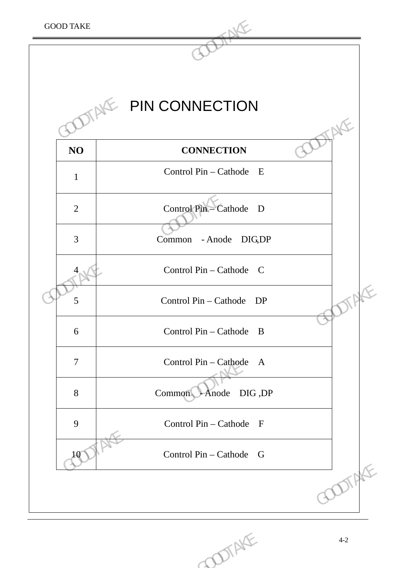

COOTAKE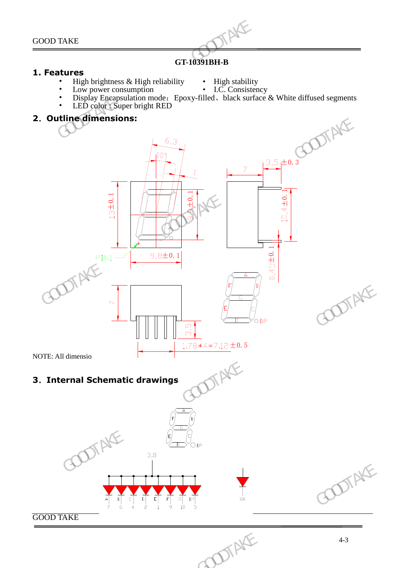### **GT-10391BH-B**

#### **1. Features**

- **Figh brightness & High reliability High stability**<br>Low power consumption I.C. Consistency
	-
- Low power consumption
- 
- Display Encapsulation mode: Epoxy-filled、black surface & White diffused segments • LED color : Super bright RED

### **2**.**Outline dimensions:**